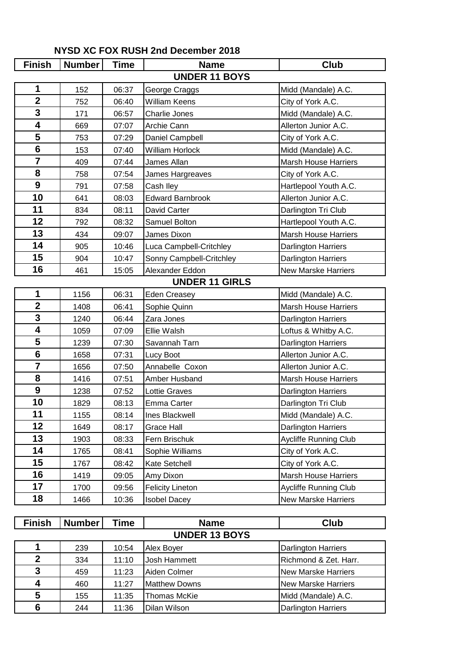| <b>Finish</b>           | <b>Number</b> | <b>Time</b> | <b>Name</b>              | <b>Club</b>                 |  |  |  |
|-------------------------|---------------|-------------|--------------------------|-----------------------------|--|--|--|
| <b>UNDER 11 BOYS</b>    |               |             |                          |                             |  |  |  |
| 1                       | 152           | 06:37       | George Craggs            | Midd (Mandale) A.C.         |  |  |  |
| $\overline{2}$          | 752           | 06:40       | <b>William Keens</b>     | City of York A.C.           |  |  |  |
| 3                       | 171           | 06:57       | Charlie Jones            | Midd (Mandale) A.C.         |  |  |  |
| 4                       | 669           | 07:07       | Archie Cann              | Allerton Junior A.C.        |  |  |  |
| 5                       | 753           | 07:29       | Daniel Campbell          | City of York A.C.           |  |  |  |
| $6\phantom{1}$          | 153           | 07:40       | <b>William Horlock</b>   | Midd (Mandale) A.C.         |  |  |  |
| $\overline{7}$          | 409           | 07:44       | James Allan              | <b>Marsh House Harriers</b> |  |  |  |
| 8                       | 758           | 07:54       | James Hargreaves         | City of York A.C.           |  |  |  |
| 9                       | 791           | 07:58       | Cash Iley                | Hartlepool Youth A.C.       |  |  |  |
| 10                      | 641           | 08:03       | <b>Edward Barnbrook</b>  | Allerton Junior A.C.        |  |  |  |
| 11                      | 834           | 08:11       | David Carter             | Darlington Tri Club         |  |  |  |
| 12                      | 792           | 08:32       | Samuel Bolton            | Hartlepool Youth A.C.       |  |  |  |
| 13                      | 434           | 09:07       | James Dixon              | <b>Marsh House Harriers</b> |  |  |  |
| 14                      | 905           | 10:46       | Luca Campbell-Critchley  | Darlington Harriers         |  |  |  |
| 15                      | 904           | 10:47       | Sonny Campbell-Critchley | Darlington Harriers         |  |  |  |
| 16                      | 461           | 15:05       | Alexander Eddon          | <b>New Marske Harriers</b>  |  |  |  |
|                         |               |             | <b>UNDER 11 GIRLS</b>    |                             |  |  |  |
| 1                       | 1156          | 06:31       | <b>Eden Creasey</b>      | Midd (Mandale) A.C.         |  |  |  |
| $\mathbf 2$             | 1408          | 06:41       | Sophie Quinn             | <b>Marsh House Harriers</b> |  |  |  |
| 3                       | 1240          | 06:44       | Zara Jones               | Darlington Harriers         |  |  |  |
| $\overline{\mathbf{4}}$ | 1059          | 07:09       | Ellie Walsh              | Loftus & Whitby A.C.        |  |  |  |
| 5                       | 1239          | 07:30       | Savannah Tarn            | <b>Darlington Harriers</b>  |  |  |  |
| $6\phantom{1}$          | 1658          | 07:31       | Lucy Boot                | Allerton Junior A.C.        |  |  |  |
| $\overline{7}$          | 1656          | 07:50       | Annabelle Coxon          | Allerton Junior A.C.        |  |  |  |
| 8                       | 1416          | 07:51       | Amber Husband            | Marsh House Harriers        |  |  |  |
| $\boldsymbol{9}$        | 1238          | 07:52       | Lottie Graves            | Darlington Harriers         |  |  |  |
| 10                      | 1829          | 08:13       | Emma Carter              | Darlington Tri Club         |  |  |  |
| 11                      | 1155          | 08:14       | Ines Blackwell           | Midd (Mandale) A.C.         |  |  |  |
| 12                      | 1649          | 08:17       | Grace Hall               | <b>Darlington Harriers</b>  |  |  |  |
| 13                      | 1903          | 08:33       | Fern Brischuk            | Aycliffe Running Club       |  |  |  |
| 14                      | 1765          | 08:41       | Sophie Williams          | City of York A.C.           |  |  |  |
| 15                      | 1767          | 08:42       | Kate Setchell            | City of York A.C.           |  |  |  |
| 16                      | 1419          | 09:05       | Amy Dixon                | <b>Marsh House Harriers</b> |  |  |  |
| 17                      | 1700          | 09:56       | <b>Felicity Lineton</b>  | Aycliffe Running Club       |  |  |  |
| 18                      | 1466          | 10:36       | <b>Isobel Dacey</b>      | <b>New Marske Harriers</b>  |  |  |  |

## **NYSD XC FOX RUSH 2nd December 2018**

| <b>Finish</b>        | <b>Number</b> | Time  | <b>Name</b>          | <b>Club</b>                |  |  |
|----------------------|---------------|-------|----------------------|----------------------------|--|--|
| <b>UNDER 13 BOYS</b> |               |       |                      |                            |  |  |
|                      | 239           | 10:54 | Alex Boyer           | <b>Darlington Harriers</b> |  |  |
| $\mathbf{2}$         | 334           | 11:10 | Josh Hammett         | Richmond & Zet. Harr.      |  |  |
| 3                    | 459           | 11:23 | Aiden Colmer         | <b>New Marske Harriers</b> |  |  |
| 4                    | 460           | 11:27 | <b>Matthew Downs</b> | <b>New Marske Harriers</b> |  |  |
| 5                    | 155           | 11:35 | Thomas McKie         | Midd (Mandale) A.C.        |  |  |
| 6                    | 244           | 11:36 | Dilan Wilson         | <b>Darlington Harriers</b> |  |  |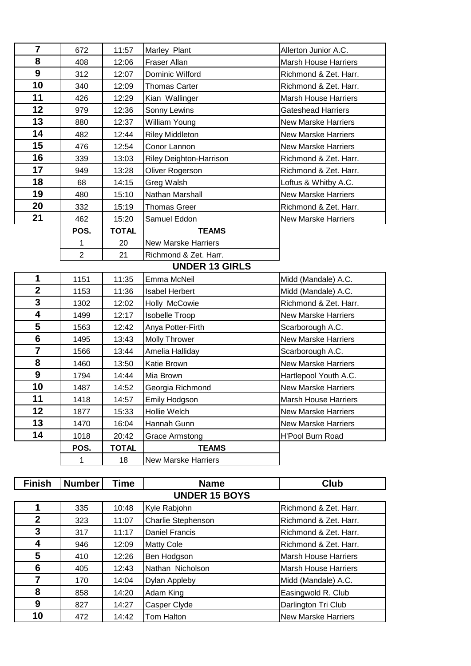| $\overline{\mathbf{7}}$ | 672            | 11:57        | Marley Plant                   | Allerton Junior A.C.        |
|-------------------------|----------------|--------------|--------------------------------|-----------------------------|
| 8                       | 408            | 12:06        | Fraser Allan                   | <b>Marsh House Harriers</b> |
| 9                       | 312            | 12:07        | Dominic Wilford                | Richmond & Zet. Harr.       |
| 10                      | 340            | 12:09        | <b>Thomas Carter</b>           | Richmond & Zet. Harr.       |
| 11                      | 426            | 12:29        | Kian Wallinger                 | <b>Marsh House Harriers</b> |
| 12                      | 979            | 12:36        | Sonny Lewins                   | <b>Gateshead Harriers</b>   |
| 13                      | 880            | 12:37        | William Young                  | <b>New Marske Harriers</b>  |
| 14                      | 482            | 12:44        | <b>Riley Middleton</b>         | <b>New Marske Harriers</b>  |
| 15                      | 476            | 12:54        | Conor Lannon                   | <b>New Marske Harriers</b>  |
| 16                      | 339            | 13:03        | <b>Riley Deighton-Harrison</b> | Richmond & Zet. Harr.       |
| 17                      | 949            | 13:28        | Oliver Rogerson                | Richmond & Zet. Harr.       |
| 18                      | 68             | 14:15        | Greg Walsh                     | Loftus & Whitby A.C.        |
| 19                      | 480            | 15:10        | Nathan Marshall                | <b>New Marske Harriers</b>  |
| 20                      | 332            | 15:19        | <b>Thomas Greer</b>            | Richmond & Zet. Harr.       |
| 21                      | 462            | 15:20        | Samuel Eddon                   | <b>New Marske Harriers</b>  |
|                         | POS.           | <b>TOTAL</b> | <b>TEAMS</b>                   |                             |
|                         | 1              | 20           | <b>New Marske Harriers</b>     |                             |
|                         | $\overline{2}$ | 21           | Richmond & Zet. Harr.          |                             |
|                         |                |              | <b>UNDER 13 GIRLS</b>          |                             |
| 1                       | 1151           | 11:35        | Emma McNeil                    | Midd (Mandale) A.C.         |
| $\mathbf 2$             | 1153           | 11:36        | <b>Isabel Herbert</b>          | Midd (Mandale) A.C.         |
| 3                       | 1302           | 12:02        | Holly McCowie                  | Richmond & Zet. Harr.       |
| 4                       | 1499           | 12:17        | Isobelle Troop                 | <b>New Marske Harriers</b>  |
| 5                       | 1563           | 12:42        | Anya Potter-Firth              | Scarborough A.C.            |
| $6\phantom{1}$          | 1495           | 13:43        | <b>Molly Thrower</b>           | <b>New Marske Harriers</b>  |
| $\overline{7}$          | 1566           | 13:44        | Amelia Halliday                | Scarborough A.C.            |
| 8                       | 1460           | 13:50        | Katie Brown                    | <b>New Marske Harriers</b>  |
| 9                       | 1794           | 14:44        | Mia Brown                      | Hartlepool Youth A.C.       |
| 10                      | 1487           | 14:52        | Georgia Richmond               | <b>New Marske Harriers</b>  |
| 11                      | 1418           | 14:57        | Emily Hodgson                  | Marsh House Harriers        |
| 12                      | 1877           | 15:33        | Hollie Welch                   | <b>New Marske Harriers</b>  |
| 13                      | 1470           | 16:04        | Hannah Gunn                    | <b>New Marske Harriers</b>  |
| 14                      | 1018           | 20:42        | <b>Grace Armstong</b>          | H'Pool Burn Road            |
|                         | POS.           | <b>TOTAL</b> | <b>TEAMS</b>                   |                             |
|                         | 1              | 18           | <b>New Marske Harriers</b>     |                             |

| <b>Finish</b>  | <b>Number</b>        | Time  | <b>Name</b>           | <b>Club</b>                 |  |  |  |  |
|----------------|----------------------|-------|-----------------------|-----------------------------|--|--|--|--|
|                | <b>UNDER 15 BOYS</b> |       |                       |                             |  |  |  |  |
| 4              | 335                  | 10:48 | Kyle Rabjohn          | Richmond & Zet. Harr.       |  |  |  |  |
| $\overline{2}$ | 323                  | 11:07 | Charlie Stephenson    | Richmond & Zet. Harr.       |  |  |  |  |
| 3              | 317                  | 11:17 | <b>Daniel Francis</b> | Richmond & Zet. Harr.       |  |  |  |  |
| 4              | 946                  | 12:09 | <b>Matty Cole</b>     | Richmond & Zet. Harr.       |  |  |  |  |
| 5              | 410                  | 12:26 | Ben Hodgson           | <b>Marsh House Harriers</b> |  |  |  |  |
| 6              | 405                  | 12:43 | Nathan Nicholson      | <b>Marsh House Harriers</b> |  |  |  |  |
| 7              | 170                  | 14:04 | Dylan Appleby         | Midd (Mandale) A.C.         |  |  |  |  |
| 8              | 858                  | 14:20 | Adam King             | Easingwold R. Club          |  |  |  |  |
| 9              | 827                  | 14:27 | Casper Clyde          | Darlington Tri Club         |  |  |  |  |
| 10             | 472                  | 14:42 | Tom Halton            | <b>New Marske Harriers</b>  |  |  |  |  |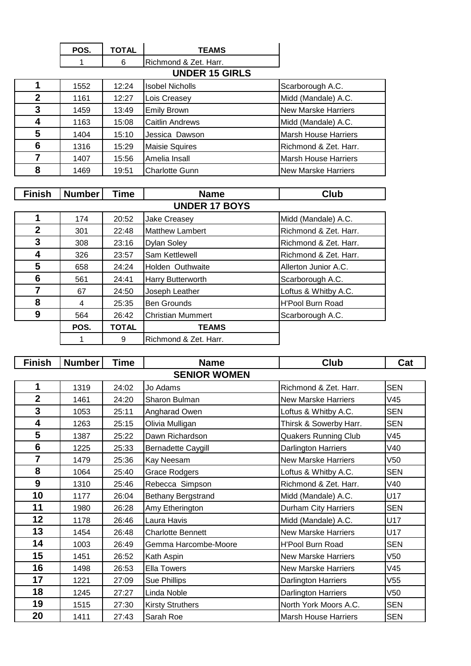| POS. | <b>TOTAL</b> | <b>TEAMS</b>           |
|------|--------------|------------------------|
|      |              | IRichmond & Zet. Harr. |
|      |              | <b>UNDER 15 GIRLS</b>  |

|   | 1552 | 12:24 | <b>Isobel Nicholls</b> | Scarborough A.C.            |  |  |
|---|------|-------|------------------------|-----------------------------|--|--|
| 2 | 1161 | 12:27 | Lois Creasey           | Midd (Mandale) A.C.         |  |  |
| 3 | 1459 | 13:49 | <b>Emily Brown</b>     | New Marske Harriers         |  |  |
| 4 | 1163 | 15:08 | <b>Caitlin Andrews</b> | Midd (Mandale) A.C.         |  |  |
| 5 | 1404 | 15:10 | Jessica Dawson         | <b>Marsh House Harriers</b> |  |  |
| 6 | 1316 | 15:29 | <b>Maisie Squires</b>  | Richmond & Zet. Harr.       |  |  |
|   | 1407 | 15:56 | Amelia Insall          | <b>Marsh House Harriers</b> |  |  |
| 8 | 1469 | 19:51 | <b>Charlotte Gunn</b>  | New Marske Harriers         |  |  |

| <b>Finish</b> | <b>Number</b> | <b>Time</b>  | <b>Name</b>              | Club                    |
|---------------|---------------|--------------|--------------------------|-------------------------|
|               |               |              | <b>UNDER 17 BOYS</b>     |                         |
|               | 174           | 20:52        | <b>Jake Creasey</b>      | Midd (Mandale) A.C.     |
| $\mathbf{2}$  | 301           | 22:48        | <b>Matthew Lambert</b>   | Richmond & Zet. Harr.   |
| 3             | 308           | 23:16        | <b>Dylan Soley</b>       | Richmond & Zet. Harr.   |
| 4             | 326           | 23:57        | Sam Kettlewell           | Richmond & Zet. Harr.   |
| 5             | 658           | 24:24        | Holden Outhwaite         | Allerton Junior A.C.    |
| 6             | 561           | 24:41        | Harry Butterworth        | Scarborough A.C.        |
| 7             | 67            | 24:50        | Joseph Leather           | Loftus & Whitby A.C.    |
| 8             | 4             | 25:35        | <b>Ben Grounds</b>       | <b>H'Pool Burn Road</b> |
| 9             | 564           | 26:42        | <b>Christian Mummert</b> | Scarborough A.C.        |
|               | POS.          | <b>TOTAL</b> | <b>TEAMS</b>             |                         |
|               |               | 9            | Richmond & Zet. Harr.    |                         |

| <b>Finish</b>  | <b>Number</b> | <b>Time</b> | <b>Name</b>               | <b>Club</b>                 | Cat             |
|----------------|---------------|-------------|---------------------------|-----------------------------|-----------------|
|                |               |             | <b>SENIOR WOMEN</b>       |                             |                 |
| 1              | 1319          | 24:02       | Jo Adams                  | Richmond & Zet. Harr.       | <b>SEN</b>      |
| $\overline{2}$ | 1461          | 24:20       | Sharon Bulman             | <b>New Marske Harriers</b>  | V45             |
| 3              | 1053          | 25:11       | Angharad Owen             | Loftus & Whitby A.C.        | <b>SEN</b>      |
| 4              | 1263          | 25:15       | Olivia Mulligan           | Thirsk & Sowerby Harr.      | <b>SEN</b>      |
| 5              | 1387          | 25:22       | Dawn Richardson           | <b>Quakers Running Club</b> | V45             |
| 6              | 1225          | 25:33       | <b>Bernadette Caygill</b> | Darlington Harriers         | V40             |
| $\overline{7}$ | 1479          | 25:36       | Kay Neesam                | <b>New Marske Harriers</b>  | V50             |
| 8              | 1064          | 25:40       | <b>Grace Rodgers</b>      | Loftus & Whitby A.C.        | <b>SEN</b>      |
| 9              | 1310          | 25:46       | Rebecca Simpson           | Richmond & Zet. Harr.       | V40             |
| 10             | 1177          | 26:04       | <b>Bethany Bergstrand</b> | Midd (Mandale) A.C.         | U17             |
| 11             | 1980          | 26:28       | Amy Etherington           | <b>Durham City Harriers</b> | <b>SEN</b>      |
| 12             | 1178          | 26:46       | Laura Havis               | Midd (Mandale) A.C.         | U17             |
| 13             | 1454          | 26:48       | <b>Charlotte Bennett</b>  | <b>New Marske Harriers</b>  | U17             |
| 14             | 1003          | 26:49       | Gemma Harcombe-Moore      | <b>H'Pool Burn Road</b>     | <b>SEN</b>      |
| 15             | 1451          | 26:52       | Kath Aspin                | <b>New Marske Harriers</b>  | <b>V50</b>      |
| 16             | 1498          | 26:53       | <b>Ella Towers</b>        | <b>New Marske Harriers</b>  | V45             |
| 17             | 1221          | 27:09       | <b>Sue Phillips</b>       | Darlington Harriers         | V <sub>55</sub> |
| 18             | 1245          | 27:27       | Linda Noble               | Darlington Harriers         | V50             |
| 19             | 1515          | 27:30       | <b>Kirsty Struthers</b>   | North York Moors A.C.       | <b>SEN</b>      |
| 20             | 1411          | 27:43       | Sarah Roe                 | <b>Marsh House Harriers</b> | <b>SEN</b>      |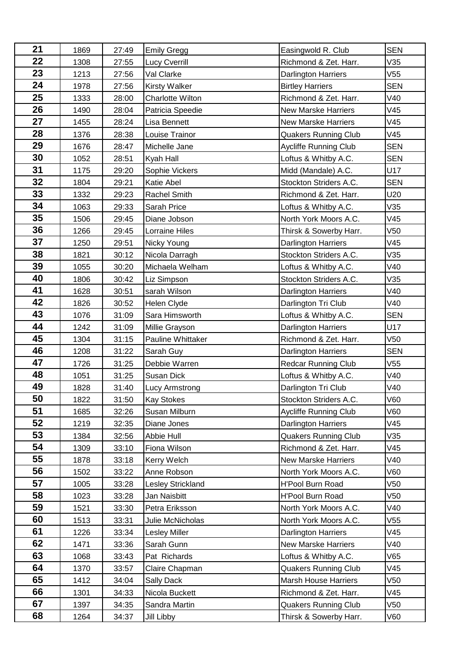| 21 | 1869 | 27:49 | <b>Emily Gregg</b>       | Easingwold R. Club           | <b>SEN</b> |
|----|------|-------|--------------------------|------------------------------|------------|
| 22 | 1308 | 27:55 | Lucy Cverrill            | Richmond & Zet. Harr.        | V35        |
| 23 | 1213 | 27:56 | Val Clarke               | Darlington Harriers          | V55        |
| 24 | 1978 | 27:56 | <b>Kirsty Walker</b>     | <b>Birtley Harriers</b>      | <b>SEN</b> |
| 25 | 1333 | 28:00 | <b>Charlotte Wilton</b>  | Richmond & Zet. Harr.        | V40        |
| 26 | 1490 | 28:04 | Patricia Speedie         | <b>New Marske Harriers</b>   | V45        |
| 27 | 1455 | 28:24 | Lisa Bennett             | <b>New Marske Harriers</b>   | V45        |
| 28 | 1376 | 28:38 | Louise Trainor           | <b>Quakers Running Club</b>  | V45        |
| 29 | 1676 | 28:47 | Michelle Jane            | <b>Aycliffe Running Club</b> | <b>SEN</b> |
| 30 | 1052 | 28:51 | Kyah Hall                | Loftus & Whitby A.C.         | <b>SEN</b> |
| 31 | 1175 | 29:20 | Sophie Vickers           | Midd (Mandale) A.C.          | U17        |
| 32 | 1804 | 29:21 | Katie Abel               | Stockton Striders A.C.       | <b>SEN</b> |
| 33 | 1332 | 29:23 | Rachel Smith             | Richmond & Zet. Harr.        | U20        |
| 34 | 1063 | 29:33 | Sarah Price              | Loftus & Whitby A.C.         | V35        |
| 35 | 1506 | 29:45 | Diane Jobson             | North York Moors A.C.        | V45        |
| 36 | 1266 | 29:45 | Lorraine Hiles           | Thirsk & Sowerby Harr.       | V50        |
| 37 | 1250 | 29:51 | Nicky Young              | <b>Darlington Harriers</b>   | V45        |
| 38 | 1821 | 30:12 | Nicola Darragh           | Stockton Striders A.C.       | V35        |
| 39 | 1055 | 30:20 | Michaela Welham          | Loftus & Whitby A.C.         | V40        |
| 40 | 1806 | 30:42 | Liz Simpson              | Stockton Striders A.C.       | V35        |
| 41 | 1628 | 30:51 | sarah Wilson             | Darlington Harriers          | V40        |
| 42 | 1826 | 30:52 | Helen Clyde              | Darlington Tri Club          | V40        |
| 43 | 1076 | 31:09 | Sara Himsworth           | Loftus & Whitby A.C.         | <b>SEN</b> |
| 44 | 1242 | 31:09 | Millie Grayson           | <b>Darlington Harriers</b>   | U17        |
| 45 | 1304 | 31:15 | Pauline Whittaker        | Richmond & Zet. Harr.        | V50        |
| 46 | 1208 | 31:22 | Sarah Guy                | <b>Darlington Harriers</b>   | <b>SEN</b> |
| 47 | 1726 | 31:25 | Debbie Warren            | Redcar Running Club          | V55        |
| 48 | 1051 | 31:25 | Susan Dick               | Loftus & Whitby A.C.         | V40        |
| 49 | 1828 | 31:40 | Lucy Armstrong           | Darlington Tri Club          | V40        |
| 50 | 1822 | 31:50 | <b>Kay Stokes</b>        | Stockton Striders A.C.       | V60        |
| 51 | 1685 | 32:26 | Susan Milburn            | <b>Aycliffe Running Club</b> | V60        |
| 52 | 1219 | 32:35 | Diane Jones              | Darlington Harriers          | V45        |
| 53 | 1384 | 32:56 | Abbie Hull               | <b>Quakers Running Club</b>  | V35        |
| 54 | 1309 | 33:10 | Fiona Wilson             | Richmond & Zet. Harr.        | V45        |
| 55 | 1878 | 33:18 | Kerry Welch              | <b>New Marske Harriers</b>   | V40        |
| 56 | 1502 | 33:22 | Anne Robson              | North York Moors A.C.        | V60        |
| 57 | 1005 | 33:28 | <b>Lesley Strickland</b> | <b>H'Pool Burn Road</b>      | V50        |
| 58 | 1023 | 33:28 | Jan Naisbitt             | <b>H'Pool Burn Road</b>      | V50        |
| 59 | 1521 | 33:30 | Petra Eriksson           | North York Moors A.C.        | V40        |
| 60 | 1513 | 33:31 | Julie McNicholas         | North York Moors A.C.        | V55        |
| 61 | 1226 | 33:34 | <b>Lesley Miller</b>     | <b>Darlington Harriers</b>   | V45        |
| 62 | 1471 | 33:36 | Sarah Gunn               | <b>New Marske Harriers</b>   | V40        |
| 63 | 1068 | 33:43 | Pat Richards             | Loftus & Whitby A.C.         | V65        |
| 64 | 1370 | 33:57 | Claire Chapman           | <b>Quakers Running Club</b>  | V45        |
| 65 | 1412 | 34:04 | Sally Dack               | <b>Marsh House Harriers</b>  | V50        |
| 66 | 1301 | 34:33 | Nicola Buckett           | Richmond & Zet. Harr.        | V45        |
| 67 | 1397 | 34:35 | Sandra Martin            | <b>Quakers Running Club</b>  | V50        |
| 68 | 1264 | 34:37 | Jill Libby               | Thirsk & Sowerby Harr.       | V60        |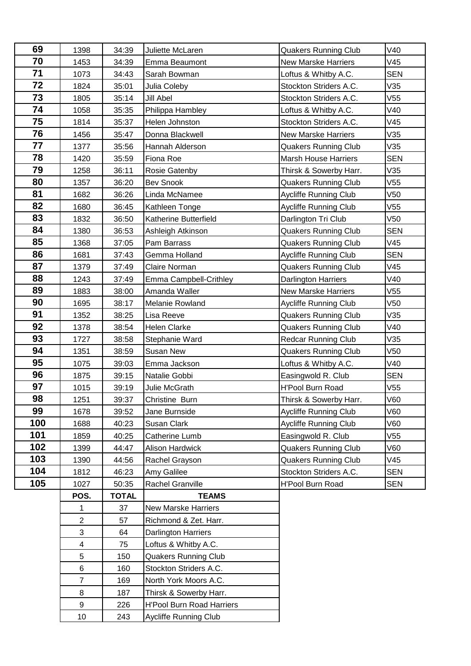| 69  | 1398           | 34:39        | Juliette McLaren                 | <b>Quakers Running Club</b>  | V40             |
|-----|----------------|--------------|----------------------------------|------------------------------|-----------------|
| 70  | 1453           | 34:39        | Emma Beaumont                    | <b>New Marske Harriers</b>   | V45             |
| 71  | 1073           | 34:43        | Sarah Bowman                     | Loftus & Whitby A.C.         | <b>SEN</b>      |
| 72  | 1824           | 35:01        | Julia Coleby                     | Stockton Striders A.C.       | V35             |
| 73  | 1805           | 35:14        | <b>Jill Abel</b>                 | Stockton Striders A.C.       | V55             |
| 74  | 1058           | 35:35        | Philippa Hambley                 | Loftus & Whitby A.C.         | V40             |
| 75  | 1814           | 35:37        | Helen Johnston                   | Stockton Striders A.C.       | V45             |
| 76  | 1456           | 35:47        | Donna Blackwell                  | <b>New Marske Harriers</b>   | V35             |
| 77  | 1377           | 35:56        | Hannah Alderson                  | <b>Quakers Running Club</b>  | V35             |
| 78  | 1420           | 35:59        | Fiona Roe                        | <b>Marsh House Harriers</b>  | <b>SEN</b>      |
| 79  | 1258           | 36:11        | Rosie Gatenby                    | Thirsk & Sowerby Harr.       | V35             |
| 80  | 1357           | 36:20        | <b>Bev Snook</b>                 | <b>Quakers Running Club</b>  | V55             |
| 81  | 1682           | 36:26        | Linda McNamee                    | <b>Aycliffe Running Club</b> | V50             |
| 82  | 1680           | 36:45        | Kathleen Tonge                   | <b>Aycliffe Running Club</b> | V55             |
| 83  | 1832           | 36:50        | Katherine Butterfield            | Darlington Tri Club          | V50             |
| 84  | 1380           | 36:53        | Ashleigh Atkinson                | <b>Quakers Running Club</b>  | <b>SEN</b>      |
| 85  | 1368           | 37:05        | Pam Barrass                      | <b>Quakers Running Club</b>  | V45             |
| 86  | 1681           | 37:43        | Gemma Holland                    | Aycliffe Running Club        | <b>SEN</b>      |
| 87  | 1379           | 37:49        | Claire Norman                    | <b>Quakers Running Club</b>  | V45             |
| 88  | 1243           | 37:49        | Emma Campbell-Crithley           | Darlington Harriers          | V40             |
| 89  | 1883           | 38:00        | Amanda Waller                    | <b>New Marske Harriers</b>   | V55             |
| 90  | 1695           | 38:17        | Melanie Rowland                  | Aycliffe Running Club        | V50             |
| 91  | 1352           | 38:25        | Lisa Reeve                       | <b>Quakers Running Club</b>  | V35             |
| 92  | 1378           | 38:54        | <b>Helen Clarke</b>              | <b>Quakers Running Club</b>  | V40             |
| 93  | 1727           | 38:58        | Stephanie Ward                   | <b>Redcar Running Club</b>   | V35             |
| 94  | 1351           | 38:59        | <b>Susan New</b>                 | <b>Quakers Running Club</b>  | V <sub>50</sub> |
| 95  | 1075           | 39:03        | Emma Jackson                     | Loftus & Whitby A.C.         | V40             |
| 96  | 1875           | 39:15        | Natalie Gobbi                    | Easingwold R. Club           | <b>SEN</b>      |
| 97  | 1015           | 39:19        | Julie McGrath                    | <b>H'Pool Burn Road</b>      | V55             |
| 98  | 1251           | 39:37        | Christine Burn                   | Thirsk & Sowerby Harr.       | V60             |
| 99  | 1678           | 39:52        | Jane Burnside                    | <b>Aycliffe Running Club</b> | V60             |
| 100 | 1688           | 40:23        | Susan Clark                      | Aycliffe Running Club        | V60             |
| 101 | 1859           | 40:25        | Catherine Lumb                   | Easingwold R. Club           | V55             |
| 102 | 1399           | 44:47        | Alison Hardwick                  | <b>Quakers Running Club</b>  | V60             |
| 103 | 1390           | 44:56        | Rachel Grayson                   | <b>Quakers Running Club</b>  | V45             |
| 104 | 1812           | 46:23        | Amy Galilee                      | Stockton Striders A.C.       | <b>SEN</b>      |
| 105 | 1027           | 50:35        | Rachel Granville                 | H'Pool Burn Road             | <b>SEN</b>      |
|     | POS.           | <b>TOTAL</b> | <b>TEAMS</b>                     |                              |                 |
|     | 1              | 37           | <b>New Marske Harriers</b>       |                              |                 |
|     | $\overline{2}$ | 57           | Richmond & Zet. Harr.            |                              |                 |
|     | $\mathfrak{S}$ | 64           | <b>Darlington Harriers</b>       |                              |                 |
|     | 4              | 75           | Loftus & Whitby A.C.             |                              |                 |
|     | 5              | 150          | <b>Quakers Running Club</b>      |                              |                 |
|     | 6              | 160          | Stockton Striders A.C.           |                              |                 |
|     | $\overline{7}$ | 169          | North York Moors A.C.            |                              |                 |
|     | 8              | 187          | Thirsk & Sowerby Harr.           |                              |                 |
|     | 9              | 226          | <b>H'Pool Burn Road Harriers</b> |                              |                 |
|     | 10             | 243          | <b>Aycliffe Running Club</b>     |                              |                 |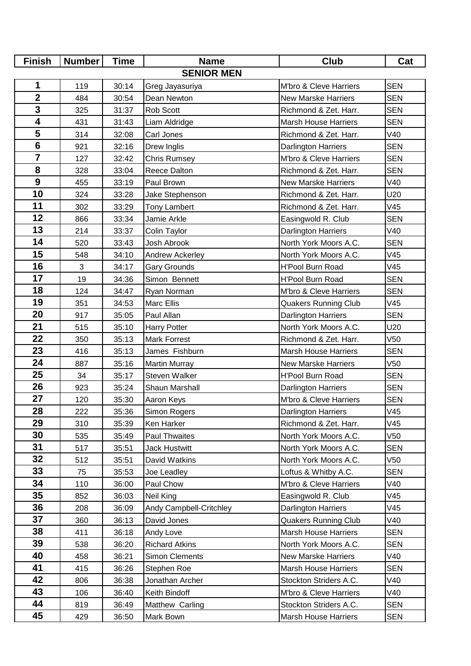| <b>Finish</b>           | <b>Number</b> | <b>Time</b> | <b>Name</b>             | <b>Club</b>                 | Cat        |  |  |
|-------------------------|---------------|-------------|-------------------------|-----------------------------|------------|--|--|
| <b>SENIOR MEN</b>       |               |             |                         |                             |            |  |  |
| 1                       | 119           | 30:14       | Greg Jayasuriya         | M'bro & Cleve Harriers      | <b>SEN</b> |  |  |
| $\overline{\mathbf{2}}$ | 484           | 30:54       | Dean Newton             | <b>New Marske Harriers</b>  | <b>SEN</b> |  |  |
| 3                       | 325           | 31:37       | Rob Scott               | Richmond & Zet. Harr.       | <b>SEN</b> |  |  |
| $\overline{\mathbf{4}}$ | 431           | 31:43       | Liam Aldridge           | <b>Marsh House Harriers</b> | <b>SEN</b> |  |  |
| 5                       | 314           | 32:08       | Carl Jones              | Richmond & Zet. Harr.       | V40        |  |  |
| $\overline{\mathbf{6}}$ | 921           | 32:16       | Drew Inglis             | <b>Darlington Harriers</b>  | <b>SEN</b> |  |  |
| $\overline{7}$          | 127           | 32:42       | <b>Chris Rumsey</b>     | M'bro & Cleve Harriers      | <b>SEN</b> |  |  |
| 8                       | 328           | 33:04       | Reece Dalton            | Richmond & Zet. Harr.       | <b>SEN</b> |  |  |
| $\boldsymbol{9}$        | 455           | 33:19       | Paul Brown              | <b>New Marske Harriers</b>  | V40        |  |  |
| 10                      | 324           | 33:28       | Jake Stephenson         | Richmond & Zet. Harr.       | U20        |  |  |
| 11                      | 302           | 33:29       | <b>Tony Lambert</b>     | Richmond & Zet. Harr.       | V45        |  |  |
| 12                      | 866           | 33:34       | Jamie Arkle             | Easingwold R. Club          | <b>SEN</b> |  |  |
| 13                      | 214           | 33:37       | Colin Taylor            | Darlington Harriers         | V40        |  |  |
| 14                      | 520           | 33:43       | Josh Abrook             | North York Moors A.C.       | <b>SEN</b> |  |  |
| 15                      | 548           | 34:10       | Andrew Ackerley         | North York Moors A.C.       | V45        |  |  |
| 16                      | 3             | 34:17       | <b>Gary Grounds</b>     | <b>H'Pool Burn Road</b>     | V45        |  |  |
| 17                      | 19            | 34:36       | Simon Bennett           | <b>H'Pool Burn Road</b>     | <b>SEN</b> |  |  |
| 18                      | 124           | 34:47       | Ryan Norman             | M'bro & Cleve Harriers      | <b>SEN</b> |  |  |
| 19                      | 351           | 34:53       | <b>Marc Ellis</b>       | <b>Quakers Running Club</b> | V45        |  |  |
| 20                      | 917           | 35:05       | Paul Allan              | Darlington Harriers         | <b>SEN</b> |  |  |
| 21                      | 515           | 35:10       | <b>Harry Potter</b>     | North York Moors A.C.       | U20        |  |  |
| 22                      | 350           | 35:13       | <b>Mark Forrest</b>     | Richmond & Zet. Harr.       | V50        |  |  |
| 23                      | 416           | 35:13       | James Fishburn          | <b>Marsh House Harriers</b> | <b>SEN</b> |  |  |
| 24                      | 887           | 35:16       | <b>Martin Murray</b>    | <b>New Marske Harriers</b>  | V50        |  |  |
| 25                      | 34            | 35:17       | Steven Walker           | H'Pool Burn Road            | <b>SEN</b> |  |  |
| 26                      | 923           | 35:24       | Shaun Marshall          | Darlington Harriers         | <b>SEN</b> |  |  |
| 27                      | 120           | 35:30       | Aaron Keys              | M'bro & Cleve Harriers      | <b>SEN</b> |  |  |
| 28                      | 222           | 35:36       | Simon Rogers            | <b>Darlington Harriers</b>  | V45        |  |  |
| 29                      | 310           | 35:39       | Ken Harker              | Richmond & Zet. Harr.       | V45        |  |  |
| 30                      | 535           | 35:49       | Paul Thwaites           | North York Moors A.C.       | V50        |  |  |
| 31                      | 517           | 35:51       | <b>Jack Hustwitt</b>    | North York Moors A.C.       | <b>SEN</b> |  |  |
| 32                      | 512           | 35:51       | David Watkins           | North York Moors A.C.       | V50        |  |  |
| 33                      | 75            | 35:53       | Joe Leadley             | Loftus & Whitby A.C.        | <b>SEN</b> |  |  |
| 34                      | 110           | 36:00       | Paul Chow               | M'bro & Cleve Harriers      | V40        |  |  |
| 35                      | 852           | 36:03       | Neil King               | Easingwold R. Club          | V45        |  |  |
| 36                      | 208           | 36:09       | Andy Campbell-Critchley | Darlington Harriers         | V45        |  |  |
| 37                      | 360           | 36:13       | David Jones             | <b>Quakers Running Club</b> | V40        |  |  |
| 38                      | 411           | 36:18       | Andy Love               | <b>Marsh House Harriers</b> | <b>SEN</b> |  |  |
| 39                      | 538           | 36:20       | <b>Richard Atkins</b>   | North York Moors A.C.       | <b>SEN</b> |  |  |
| 40                      | 458           | 36:21       | <b>Simon Clements</b>   | <b>New Marske Harriers</b>  | V40        |  |  |
| 41                      | 415           | 36:26       | Stephen Roe             | <b>Marsh House Harriers</b> | <b>SEN</b> |  |  |
| 42                      | 806           | 36:38       | Jonathan Archer         | Stockton Striders A.C.      | V40        |  |  |
| 43                      | 106           | 36:40       | Keith Bindoff           | M'bro & Cleve Harriers      | V40        |  |  |
| 44                      | 819           | 36:49       | Matthew Carling         | Stockton Striders A.C.      | <b>SEN</b> |  |  |
| 45                      | 429           | 36:50       | Mark Bown               | <b>Marsh House Harriers</b> | <b>SEN</b> |  |  |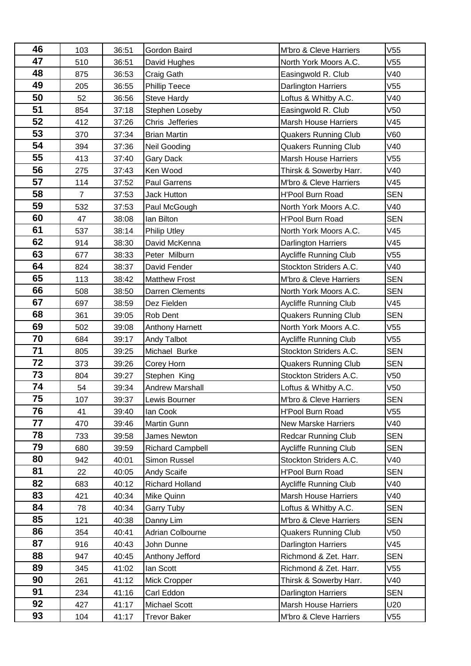| 46 | 103            | 36:51 | Gordon Baird            | M'bro & Cleve Harriers       | V55        |
|----|----------------|-------|-------------------------|------------------------------|------------|
| 47 | 510            | 36:51 | David Hughes            | North York Moors A.C.        | V55        |
| 48 | 875            | 36:53 | Craig Gath              | Easingwold R. Club           | V40        |
| 49 | 205            | 36:55 | Phillip Teece           | Darlington Harriers          | V55        |
| 50 | 52             | 36:56 | <b>Steve Hardy</b>      | Loftus & Whitby A.C.         | V40        |
| 51 | 854            | 37:18 | Stephen Loseby          | Easingwold R. Club           | V50        |
| 52 | 412            | 37:26 | Chris Jefferies         | <b>Marsh House Harriers</b>  | V45        |
| 53 | 370            | 37:34 | <b>Brian Martin</b>     | <b>Quakers Running Club</b>  | V60        |
| 54 | 394            | 37:36 | Neil Gooding            | <b>Quakers Running Club</b>  | V40        |
| 55 | 413            | 37:40 | <b>Gary Dack</b>        | <b>Marsh House Harriers</b>  | V55        |
| 56 | 275            | 37:43 | Ken Wood                | Thirsk & Sowerby Harr.       | V40        |
| 57 | 114            | 37:52 | <b>Paul Garrens</b>     | M'bro & Cleve Harriers       | V45        |
| 58 | $\overline{7}$ | 37:53 | <b>Jack Hutton</b>      | <b>H'Pool Burn Road</b>      | <b>SEN</b> |
| 59 | 532            | 37:53 | Paul McGough            | North York Moors A.C.        | V40        |
| 60 | 47             | 38:08 | lan Bilton              | <b>H'Pool Burn Road</b>      | <b>SEN</b> |
| 61 | 537            | 38:14 | <b>Philip Utley</b>     | North York Moors A.C.        | V45        |
| 62 | 914            | 38:30 | David McKenna           | <b>Darlington Harriers</b>   | V45        |
| 63 | 677            | 38:33 | Peter Milburn           | <b>Aycliffe Running Club</b> | V55        |
| 64 | 824            | 38:37 | David Fender            | Stockton Striders A.C.       | V40        |
| 65 | 113            | 38:42 | <b>Matthew Frost</b>    | M'bro & Cleve Harriers       | <b>SEN</b> |
| 66 | 508            | 38:50 | <b>Darren Clements</b>  | North York Moors A.C.        | <b>SEN</b> |
| 67 | 697            | 38:59 | Dez Fielden             | <b>Aycliffe Running Club</b> | V45        |
| 68 | 361            | 39:05 | Rob Dent                | <b>Quakers Running Club</b>  | <b>SEN</b> |
| 69 | 502            | 39:08 | Anthony Harnett         | North York Moors A.C.        | V55        |
| 70 | 684            | 39:17 | Andy Talbot             | Aycliffe Running Club        | V55        |
| 71 | 805            | 39:25 | Michael Burke           | Stockton Striders A.C.       | <b>SEN</b> |
| 72 | 373            | 39:26 | Corey Horn              | <b>Quakers Running Club</b>  | <b>SEN</b> |
| 73 | 804            | 39:27 | Stephen King            | Stockton Striders A.C.       | V50        |
| 74 | 54             | 39:34 | <b>Andrew Marshall</b>  | Loftus & Whitby A.C.         | V50        |
| 75 | 107            | 39:37 | Lewis Bourner           | M'bro & Cleve Harriers       | SEN        |
| 76 | 41             | 39:40 | lan Cook                | H'Pool Burn Road             | V55        |
| 77 | 470            | 39:46 | Martin Gunn             | <b>New Marske Harriers</b>   | V40        |
| 78 | 733            | 39:58 | James Newton            | <b>Redcar Running Club</b>   | <b>SEN</b> |
| 79 | 680            | 39:59 | <b>Richard Campbell</b> | <b>Aycliffe Running Club</b> | <b>SEN</b> |
| 80 | 942            | 40:01 | Simon Russel            | Stockton Striders A.C.       | V40        |
| 81 | 22             | 40:05 | Andy Scaife             | <b>H'Pool Burn Road</b>      | <b>SEN</b> |
| 82 | 683            | 40:12 | Richard Holland         | <b>Aycliffe Running Club</b> | V40        |
| 83 | 421            | 40:34 | Mike Quinn              | Marsh House Harriers         | V40        |
| 84 | 78             | 40:34 | Garry Tuby              | Loftus & Whitby A.C.         | <b>SEN</b> |
| 85 | 121            | 40:38 | Danny Lim               | M'bro & Cleve Harriers       | <b>SEN</b> |
| 86 | 354            | 40:41 | Adrian Colbourne        | <b>Quakers Running Club</b>  | V50        |
| 87 | 916            | 40:43 | John Dunne              | <b>Darlington Harriers</b>   | V45        |
| 88 | 947            | 40:45 | Anthony Jefford         | Richmond & Zet. Harr.        | <b>SEN</b> |
| 89 | 345            | 41:02 | lan Scott               | Richmond & Zet. Harr.        | V55        |
| 90 | 261            | 41:12 | Mick Cropper            | Thirsk & Sowerby Harr.       | V40        |
| 91 | 234            | 41:16 | Carl Eddon              | <b>Darlington Harriers</b>   | <b>SEN</b> |
| 92 | 427            | 41:17 | Michael Scott           | <b>Marsh House Harriers</b>  | U20        |
| 93 | 104            | 41:17 | <b>Trevor Baker</b>     | M'bro & Cleve Harriers       | V55        |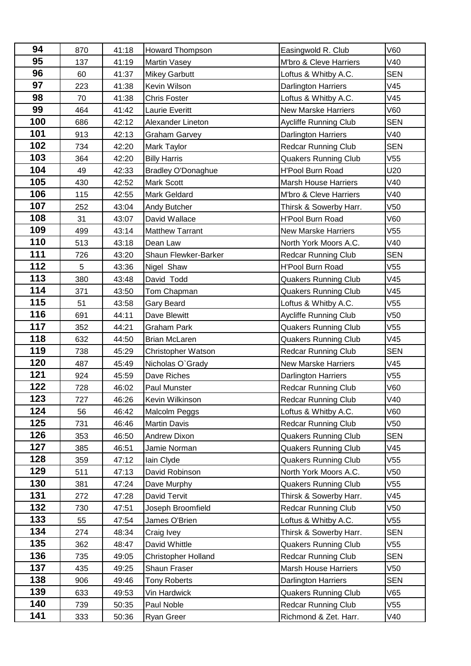| 94  | 870 | 41:18 | Howard Thompson            | Easingwold R. Club           | V60        |
|-----|-----|-------|----------------------------|------------------------------|------------|
| 95  | 137 | 41:19 | <b>Martin Vasey</b>        | M'bro & Cleve Harriers       | V40        |
| 96  | 60  | 41:37 | <b>Mikey Garbutt</b>       | Loftus & Whitby A.C.         | <b>SEN</b> |
| 97  | 223 | 41:38 | Kevin Wilson               | Darlington Harriers          | V45        |
| 98  | 70  | 41:38 | <b>Chris Foster</b>        | Loftus & Whitby A.C.         | V45        |
| 99  | 464 | 41:42 | Laurie Everitt             | <b>New Marske Harriers</b>   | V60        |
| 100 | 686 | 42:12 | Alexander Lineton          | <b>Aycliffe Running Club</b> | <b>SEN</b> |
| 101 | 913 | 42:13 | <b>Graham Garvey</b>       | Darlington Harriers          | V40        |
| 102 | 734 | 42:20 | Mark Taylor                | <b>Redcar Running Club</b>   | <b>SEN</b> |
| 103 | 364 | 42:20 | <b>Billy Harris</b>        | <b>Quakers Running Club</b>  | V55        |
| 104 | 49  | 42:33 | <b>Bradley O'Donaghue</b>  | <b>H'Pool Burn Road</b>      | U20        |
| 105 | 430 | 42:52 | <b>Mark Scott</b>          | <b>Marsh House Harriers</b>  | V40        |
| 106 | 115 | 42:55 | <b>Mark Geldard</b>        | M'bro & Cleve Harriers       | V40        |
| 107 | 252 | 43:04 | Andy Butcher               | Thirsk & Sowerby Harr.       | V50        |
| 108 | 31  | 43:07 | David Wallace              | <b>H'Pool Burn Road</b>      | V60        |
| 109 | 499 | 43:14 | <b>Matthew Tarrant</b>     | <b>New Marske Harriers</b>   | V55        |
| 110 | 513 | 43:18 | Dean Law                   | North York Moors A.C.        | V40        |
| 111 | 726 | 43:20 | Shaun Flewker-Barker       | <b>Redcar Running Club</b>   | <b>SEN</b> |
| 112 | 5   | 43:36 | Nigel Shaw                 | <b>H'Pool Burn Road</b>      | V55        |
| 113 | 380 | 43:48 | David Todd                 | <b>Quakers Running Club</b>  | V45        |
| 114 | 371 | 43:50 | Tom Chapman                | <b>Quakers Running Club</b>  | V45        |
| 115 | 51  | 43:58 | Gary Beard                 | Loftus & Whitby A.C.         | V55        |
| 116 | 691 | 44:11 | Dave Blewitt               | Aycliffe Running Club        | V50        |
| 117 | 352 | 44:21 | <b>Graham Park</b>         | <b>Quakers Running Club</b>  | V55        |
| 118 | 632 | 44:50 | <b>Brian McLaren</b>       | <b>Quakers Running Club</b>  | V45        |
| 119 | 738 | 45:29 | Christopher Watson         | <b>Redcar Running Club</b>   | <b>SEN</b> |
| 120 | 487 | 45:49 | Nicholas O'Grady           | <b>New Marske Harriers</b>   | V45        |
| 121 | 924 | 45:59 | Dave Riches                | Darlington Harriers          | V55        |
| 122 | 728 | 46:02 | Paul Munster               | Redcar Running Club          | V60        |
| 123 | 727 | 46:26 | Kevin Wilkinson            | <b>Redcar Running Club</b>   | V40        |
| 124 | 56  | 46:42 | Malcolm Peggs              | Loftus & Whitby A.C.         | V60        |
| 125 | 731 | 46:46 | <b>Martin Davis</b>        | <b>Redcar Running Club</b>   | V50        |
| 126 | 353 | 46:50 | Andrew Dixon               | Quakers Running Club         | <b>SEN</b> |
| 127 | 385 | 46:51 | Jamie Norman               | <b>Quakers Running Club</b>  | V45        |
| 128 | 359 | 47:12 | lain Clyde                 | <b>Quakers Running Club</b>  | V55        |
| 129 | 511 | 47:13 | David Robinson             | North York Moors A.C.        | V50        |
| 130 | 381 | 47:24 | Dave Murphy                | <b>Quakers Running Club</b>  | V55        |
| 131 | 272 | 47:28 | <b>David Tervit</b>        | Thirsk & Sowerby Harr.       | V45        |
| 132 | 730 | 47:51 | Joseph Broomfield          | <b>Redcar Running Club</b>   | V50        |
| 133 | 55  | 47:54 | James O'Brien              | Loftus & Whitby A.C.         | V55        |
| 134 | 274 | 48:34 | Craig Ivey                 | Thirsk & Sowerby Harr.       | <b>SEN</b> |
| 135 | 362 | 48:47 | David Whittle              | <b>Quakers Running Club</b>  | V55        |
| 136 | 735 | 49:05 | <b>Christopher Holland</b> | <b>Redcar Running Club</b>   | <b>SEN</b> |
| 137 | 435 | 49:25 | Shaun Fraser               | <b>Marsh House Harriers</b>  | V50        |
| 138 | 906 | 49:46 | <b>Tony Roberts</b>        | Darlington Harriers          | <b>SEN</b> |
| 139 | 633 | 49:53 | Vin Hardwick               | <b>Quakers Running Club</b>  | V65        |
| 140 | 739 | 50:35 | Paul Noble                 | <b>Redcar Running Club</b>   | V55        |
| 141 | 333 | 50:36 | <b>Ryan Greer</b>          | Richmond & Zet. Harr.        | V40        |